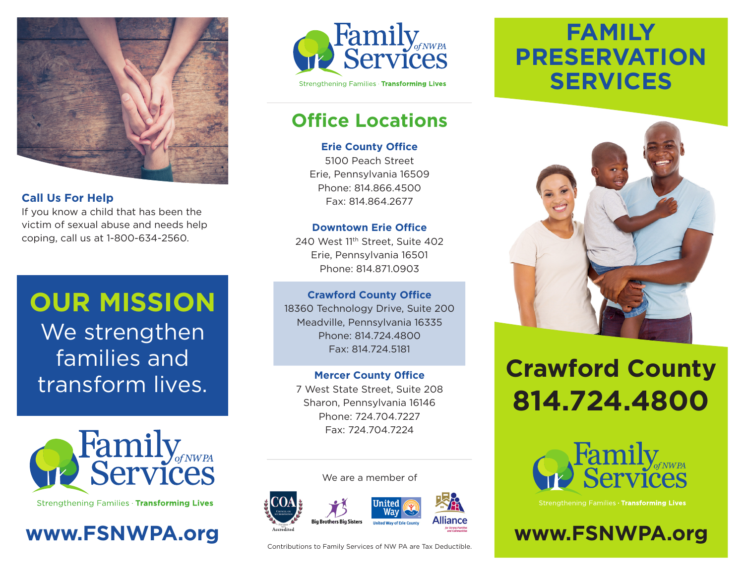

### **Call Us For Help**

If you know a child that has been the victim of sexual abuse and needs help coping, call us at 1-800-634-2560.

# **OUR MISSION** We strengthen families and

transform lives.



Strengthening Families · Transforming Lives





## **Office Locations**

### **Erie County Office**

5100 Peach Street Erie, Pennsylvania 16509 Phone: 814.866.4500 Fax: 814.864.2677

### **Downtown Erie Office**

240 West 11th Street, Suite 402 Erie, Pennsylvania 16501 Phone: 814.871.0903

### **Crawford County Office**

18360 Technology Drive, Suite 200 Meadville, Pennsylvania 16335 Phone: 814.724.4800 Fax: 814.724.5181

### **Mercer County 0ffice**

7 West State Street, Suite 208 Sharon, Pennsylvania 16146 Phone: 724.704.7227 Fax: 724.704.7224

#### We are a member of



Contributions to Family Services of NW PA are Tax Deductible.

# **FAMILY PRESERVATION SERVICES**



# **Crawford County 814.724.4800**



Strengthening Families · Transforming Lives